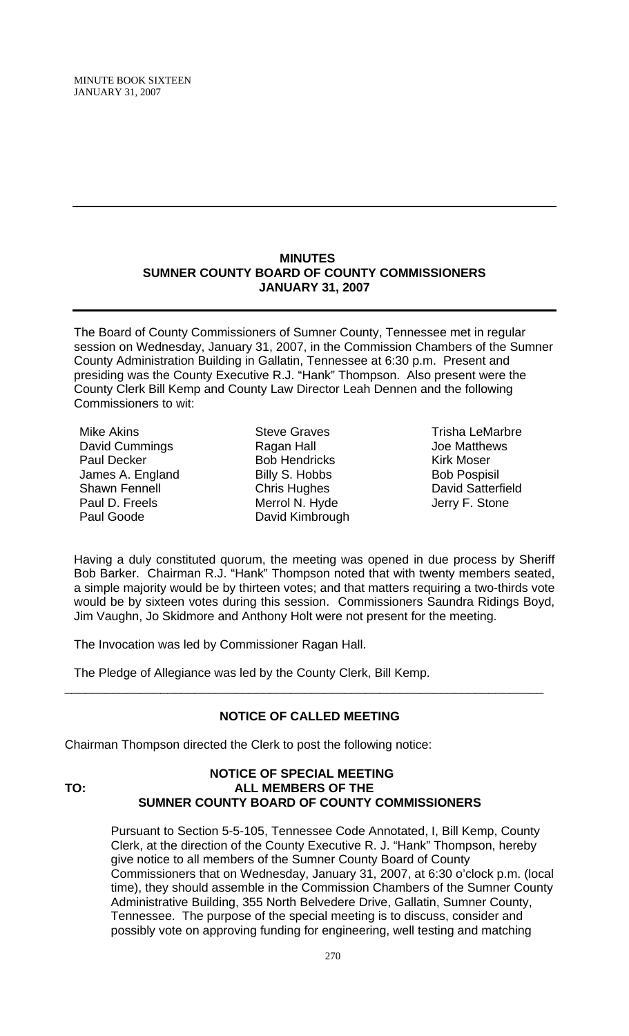MINUTE BOOK SIXTEEN JANUARY 31, 2007

#### **MINUTES SUMNER COUNTY BOARD OF COUNTY COMMISSIONERS JANUARY 31, 2007**

The Board of County Commissioners of Sumner County, Tennessee met in regular session on Wednesday, January 31, 2007, in the Commission Chambers of the Sumner County Administration Building in Gallatin, Tennessee at 6:30 p.m. Present and presiding was the County Executive R.J. "Hank" Thompson. Also present were the County Clerk Bill Kemp and County Law Director Leah Dennen and the following Commissioners to wit:

Mike Akins David Cummings Paul Decker James A. England Shawn Fennell Paul D. Freels Paul Goode

Steve Graves Ragan Hall Bob Hendricks Billy S. Hobbs Chris Hughes Merrol N. Hyde David Kimbrough

Trisha LeMarbre Joe Matthews Kirk Moser Bob Pospisil David Satterfield Jerry F. Stone

Having a duly constituted quorum, the meeting was opened in due process by Sheriff Bob Barker. Chairman R.J. "Hank" Thompson noted that with twenty members seated, a simple majority would be by thirteen votes; and that matters requiring a two-thirds vote would be by sixteen votes during this session. Commissioners Saundra Ridings Boyd, Jim Vaughn, Jo Skidmore and Anthony Holt were not present for the meeting.

The Invocation was led by Commissioner Ragan Hall.

The Pledge of Allegiance was led by the County Clerk, Bill Kemp.

## **NOTICE OF CALLED MEETING**

\_\_\_\_\_\_\_\_\_\_\_\_\_\_\_\_\_\_\_\_\_\_\_\_\_\_\_\_\_\_\_\_\_\_\_\_\_\_\_\_\_\_\_\_\_\_\_\_\_\_\_\_\_\_\_\_\_\_\_\_\_\_\_\_\_\_\_\_\_\_

Chairman Thompson directed the Clerk to post the following notice:

## **NOTICE OF SPECIAL MEETING TO: ALL MEMBERS OF THE SUMNER COUNTY BOARD OF COUNTY COMMISSIONERS**

Pursuant to Section 5-5-105, Tennessee Code Annotated, I, Bill Kemp, County Clerk, at the direction of the County Executive R. J. "Hank" Thompson, hereby give notice to all members of the Sumner County Board of County Commissioners that on Wednesday, January 31, 2007, at 6:30 o'clock p.m. (local time), they should assemble in the Commission Chambers of the Sumner County Administrative Building, 355 North Belvedere Drive, Gallatin, Sumner County, Tennessee. The purpose of the special meeting is to discuss, consider and possibly vote on approving funding for engineering, well testing and matching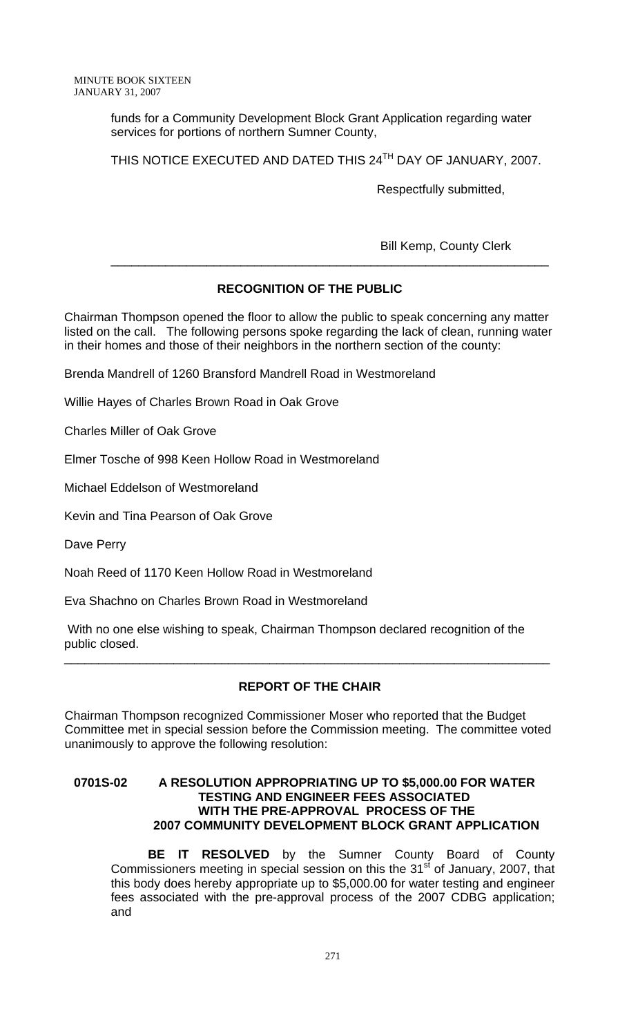funds for a Community Development Block Grant Application regarding water services for portions of northern Sumner County,

THIS NOTICE EXECUTED AND DATED THIS 24<sup>TH</sup> DAY OF JANUARY, 2007.

\_\_\_\_\_\_\_\_\_\_\_\_\_\_\_\_\_\_\_\_\_\_\_\_\_\_\_\_\_\_\_\_\_\_\_\_\_\_\_\_\_\_\_\_\_\_\_\_\_\_\_\_\_\_\_\_\_\_\_\_\_\_\_\_

Respectfully submitted,

Bill Kemp, County Clerk

# **RECOGNITION OF THE PUBLIC**

Chairman Thompson opened the floor to allow the public to speak concerning any matter listed on the call. The following persons spoke regarding the lack of clean, running water in their homes and those of their neighbors in the northern section of the county:

Brenda Mandrell of 1260 Bransford Mandrell Road in Westmoreland

Willie Hayes of Charles Brown Road in Oak Grove

Charles Miller of Oak Grove

Elmer Tosche of 998 Keen Hollow Road in Westmoreland

Michael Eddelson of Westmoreland

Kevin and Tina Pearson of Oak Grove

Dave Perry

Noah Reed of 1170 Keen Hollow Road in Westmoreland

Eva Shachno on Charles Brown Road in Westmoreland

 With no one else wishing to speak, Chairman Thompson declared recognition of the public closed.

## **REPORT OF THE CHAIR**

\_\_\_\_\_\_\_\_\_\_\_\_\_\_\_\_\_\_\_\_\_\_\_\_\_\_\_\_\_\_\_\_\_\_\_\_\_\_\_\_\_\_\_\_\_\_\_\_\_\_\_\_\_\_\_\_\_\_\_\_\_\_\_\_\_\_\_\_\_\_\_

Chairman Thompson recognized Commissioner Moser who reported that the Budget Committee met in special session before the Commission meeting. The committee voted unanimously to approve the following resolution:

### **0701S-02 A RESOLUTION APPROPRIATING UP TO \$5,000.00 FOR WATER TESTING AND ENGINEER FEES ASSOCIATED WITH THE PRE-APPROVAL PROCESS OF THE 2007 COMMUNITY DEVELOPMENT BLOCK GRANT APPLICATION**

**BE IT RESOLVED** by the Sumner County Board of County Commissioners meeting in special session on this the  $31<sup>st</sup>$  of January, 2007, that this body does hereby appropriate up to \$5,000.00 for water testing and engineer fees associated with the pre-approval process of the 2007 CDBG application; and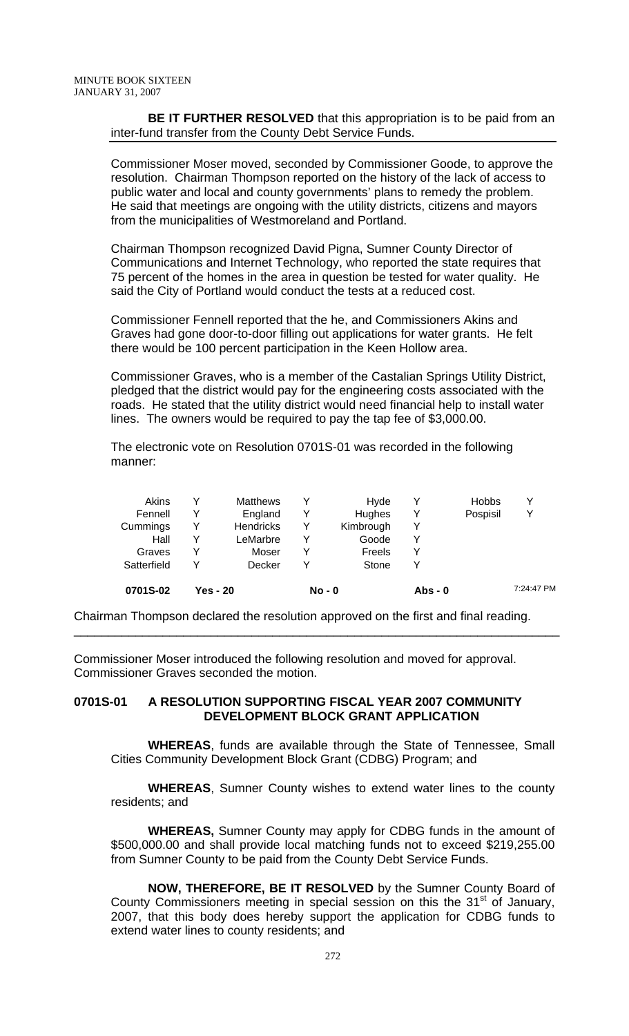#### **BE IT FURTHER RESOLVED** that this appropriation is to be paid from an inter-fund transfer from the County Debt Service Funds.

Commissioner Moser moved, seconded by Commissioner Goode, to approve the resolution. Chairman Thompson reported on the history of the lack of access to public water and local and county governments' plans to remedy the problem. He said that meetings are ongoing with the utility districts, citizens and mayors from the municipalities of Westmoreland and Portland.

Chairman Thompson recognized David Pigna, Sumner County Director of Communications and Internet Technology, who reported the state requires that 75 percent of the homes in the area in question be tested for water quality. He said the City of Portland would conduct the tests at a reduced cost.

Commissioner Fennell reported that the he, and Commissioners Akins and Graves had gone door-to-door filling out applications for water grants. He felt there would be 100 percent participation in the Keen Hollow area.

Commissioner Graves, who is a member of the Castalian Springs Utility District, pledged that the district would pay for the engineering costs associated with the roads. He stated that the utility district would need financial help to install water lines. The owners would be required to pay the tap fee of \$3,000.00.

The electronic vote on Resolution 0701S-01 was recorded in the following manner:

| 0701S-02    | Yes - 20 |                  | $No - 0$ |               | $Abs - 0$ |              | 7:24:47 PM |  |
|-------------|----------|------------------|----------|---------------|-----------|--------------|------------|--|
| Satterfield |          | Decker           | v        | Stone         |           |              |            |  |
| Graves      |          | Moser            | Y        | Freels        |           |              |            |  |
| Hall        | v        | LeMarbre         | Y        | Goode         |           |              |            |  |
| Cummings    | v        | <b>Hendricks</b> | Y        | Kimbrough     |           |              |            |  |
| Fennell     |          | England          | Y        | <b>Hughes</b> |           | Pospisil     | Υ          |  |
| Akins       | ∨        | <b>Matthews</b>  | Y        | Hyde          |           | <b>Hobbs</b> | ٧          |  |
|             |          |                  |          |               |           |              |            |  |

Chairman Thompson declared the resolution approved on the first and final reading.

\_\_\_\_\_\_\_\_\_\_\_\_\_\_\_\_\_\_\_\_\_\_\_\_\_\_\_\_\_\_\_\_\_\_\_\_\_\_\_\_\_\_\_\_\_\_\_\_\_\_\_\_\_\_\_\_\_\_\_\_\_\_\_\_\_\_\_\_\_\_\_

Commissioner Moser introduced the following resolution and moved for approval. Commissioner Graves seconded the motion.

### **0701S-01 A RESOLUTION SUPPORTING FISCAL YEAR 2007 COMMUNITY DEVELOPMENT BLOCK GRANT APPLICATION**

**WHEREAS**, funds are available through the State of Tennessee, Small Cities Community Development Block Grant (CDBG) Program; and

**WHEREAS**, Sumner County wishes to extend water lines to the county residents; and

**WHEREAS,** Sumner County may apply for CDBG funds in the amount of \$500,000.00 and shall provide local matching funds not to exceed \$219,255.00 from Sumner County to be paid from the County Debt Service Funds.

**NOW, THEREFORE, BE IT RESOLVED** by the Sumner County Board of County Commissioners meeting in special session on this the  $31<sup>st</sup>$  of January, 2007, that this body does hereby support the application for CDBG funds to extend water lines to county residents; and